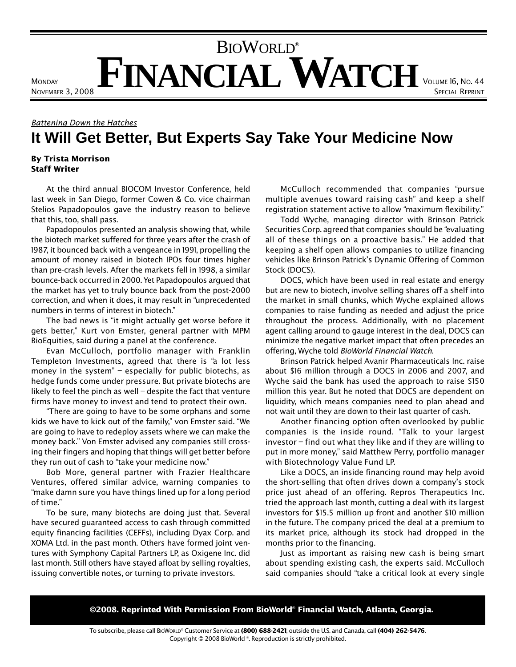## **FINANCIAL WATCH** VOLUME 16, NO. 44 BIOWORLD®

Battening Down the Hatches **It Will Get Better, But Experts Say Take Your Medicine Now**

## By Trista Morrison Staff Writer

**MONDAY** 

NOVEMBER 3, 2008

At the third annual BIOCOM Investor Conference, held last week in San Diego, former Cowen & Co. vice chairman Stelios Papadopoulos gave the industry reason to believe that this, too, shall pass.

Papadopoulos presented an analysis showing that, while the biotech market suffered for three years after the crash of 1987, it bounced back with a vengeance in 1991, propelling the amount of money raised in biotech IPOs four times higher than pre-crash levels. After the markets fell in 1998, a similar bounce-back occurred in 2000. Yet Papadopoulos argued that the market has yet to truly bounce back from the post-2000 correction, and when it does, it may result in "unprecedented numbers in terms of interest in biotech."

The bad news is "it might actually get worse before it gets better," Kurt von Emster, general partner with MPM BioEquities, said during a panel at the conference.

Evan McCulloch, portfolio manager with Franklin Templeton Investments, agreed that there is "a lot less money in the system" – especially for public biotechs, as hedge funds come under pressure. But private biotechs are likely to feel the pinch as well – despite the fact that venture firms have money to invest and tend to protect their own.

"There are going to have to be some orphans and some kids we have to kick out of the family," von Emster said. "We are going to have to redeploy assets where we can make the money back." Von Emster advised any companies still crossing their fingers and hoping that things will get better before they run out of cash to "take your medicine now."

Bob More, general partner with Frazier Healthcare Ventures, offered similar advice, warning companies to "make damn sure you have things lined up for a long period of time."

To be sure, many biotechs are doing just that. Several have secured guaranteed access to cash through committed equity financing facilities (CEFFs), including Dyax Corp. and XOMA Ltd. in the past month. Others have formed joint ventures with Symphony Capital Partners LP, as Oxigene Inc. did last month. Still others have stayed afloat by selling royalties, issuing convertible notes, or turning to private investors.

McCulloch recommended that companies "pursue multiple avenues toward raising cash" and keep a shelf registration statement active to allow "maximum flexibility."

SPECIAL REPRINT

Todd Wyche, managing director with Brinson Patrick Securities Corp. agreed that companies should be "evaluating all of these things on a proactive basis." He added that keeping a shelf open allows companies to utilize financing vehicles like Brinson Patrick's Dynamic Offering of Common Stock (DOCS).

DOCS, which have been used in real estate and energy but are new to biotech, involve selling shares off a shelf into the market in small chunks, which Wyche explained allows companies to raise funding as needed and adjust the price throughout the process. Additionally, with no placement agent calling around to gauge interest in the deal, DOCS can minimize the negative market impact that often precedes an offering, Wyche told BioWorld Financial Watch.

Brinson Patrick helped Avanir Pharmaceuticals Inc. raise about \$16 million through a DOCS in 2006 and 2007, and Wyche said the bank has used the approach to raise \$150 million this year. But he noted that DOCS are dependent on liquidity, which means companies need to plan ahead and not wait until they are down to their last quarter of cash.

Another financing option often overlooked by public companies is the inside round. "Talk to your largest investor – find out what they like and if they are willing to put in more money," said Matthew Perry, portfolio manager with Biotechnology Value Fund LP.

Like a DOCS, an inside financing round may help avoid the short-selling that often drives down a company's stock price just ahead of an offering. Repros Therapeutics Inc. tried the approach last month, cutting a deal with its largest investors for \$15.5 million up front and another \$10 million in the future. The company priced the deal at a premium to its market price, although its stock had dropped in the months prior to the financing.

Just as important as raising new cash is being smart about spending existing cash, the experts said. McCulloch said companies should "take a critical look at every single

©2008. Reprinted With Permission From BioWorld® Financial Watch, Atlanta, Georgia.